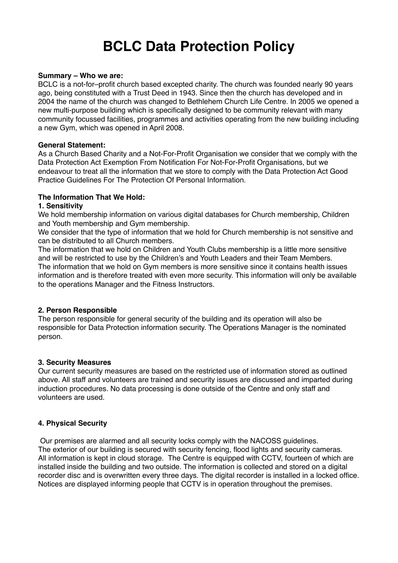# **BCLC Data Protection Policy**

#### **Summary – Who we are:**

BCLC is a not-for–profit church based excepted charity. The church was founded nearly 90 years ago, being constituted with a Trust Deed in 1943. Since then the church has developed and in 2004 the name of the church was changed to Bethlehem Church Life Centre. In 2005 we opened a new multi-purpose building which is specifically designed to be community relevant with many community focussed facilities, programmes and activities operating from the new building including a new Gym, which was opened in April 2008.

#### **General Statement:**

As a Church Based Charity and a Not-For-Profit Organisation we consider that we comply with the Data Protection Act Exemption From Notification For Not-For-Profit Organisations, but we endeavour to treat all the information that we store to comply with the Data Protection Act Good Practice Guidelines For The Protection Of Personal Information.

#### **The Information That We Hold:**

#### **1. Sensitivity**

We hold membership information on various digital databases for Church membership, Children and Youth membership and Gym membership.

We consider that the type of information that we hold for Church membership is not sensitive and can be distributed to all Church members.

The information that we hold on Children and Youth Clubs membership is a little more sensitive and will be restricted to use by the Children's and Youth Leaders and their Team Members. The information that we hold on Gym members is more sensitive since it contains health issues information and is therefore treated with even more security. This information will only be available to the operations Manager and the Fitness Instructors.

# **2. Person Responsible**

The person responsible for general security of the building and its operation will also be responsible for Data Protection information security. The Operations Manager is the nominated person.

# **3. Security Measures**

Our current security measures are based on the restricted use of information stored as outlined above. All staff and volunteers are trained and security issues are discussed and imparted during induction procedures. No data processing is done outside of the Centre and only staff and volunteers are used.

# **4. Physical Security**

 Our premises are alarmed and all security locks comply with the NACOSS guidelines. The exterior of our building is secured with security fencing, flood lights and security cameras. All information is kept in cloud storage. The Centre is equipped with CCTV, fourteen of which are installed inside the building and two outside. The information is collected and stored on a digital recorder disc and is overwritten every three days. The digital recorder is installed in a locked office. Notices are displayed informing people that CCTV is in operation throughout the premises.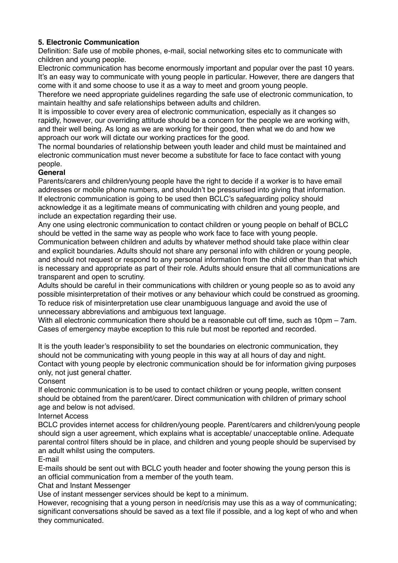# **5. Electronic Communication**

Definition: Safe use of mobile phones, e-mail, social networking sites etc to communicate with children and young people.

Electronic communication has become enormously important and popular over the past 10 years. It's an easy way to communicate with young people in particular. However, there are dangers that come with it and some choose to use it as a way to meet and groom young people.

Therefore we need appropriate guidelines regarding the safe use of electronic communication, to maintain healthy and safe relationships between adults and children.

It is impossible to cover every area of electronic communication, especially as it changes so rapidly, however, our overriding attitude should be a concern for the people we are working with, and their well being. As long as we are working for their good, then what we do and how we approach our work will dictate our working practices for the good.

The normal boundaries of relationship between youth leader and child must be maintained and electronic communication must never become a substitute for face to face contact with young people.

# **General**

Parents/carers and children/young people have the right to decide if a worker is to have email addresses or mobile phone numbers, and shouldn't be pressurised into giving that information. If electronic communication is going to be used then BCLC's safeguarding policy should acknowledge it as a legitimate means of communicating with children and young people, and include an expectation regarding their use.

Any one using electronic communication to contact children or young people on behalf of BCLC should be vetted in the same way as people who work face to face with young people. Communication between children and adults by whatever method should take place within clear and explicit boundaries. Adults should not share any personal info with children or young people, and should not request or respond to any personal information from the child other than that which is necessary and appropriate as part of their role. Adults should ensure that all communications are

transparent and open to scrutiny. Adults should be careful in their communications with children or young people so as to avoid any possible misinterpretation of their motives or any behaviour which could be construed as grooming. To reduce risk of misinterpretation use clear unambiguous language and avoid the use of unnecessary abbreviations and ambiguous text language.

With all electronic communication there should be a reasonable cut off time, such as 10pm – 7am. Cases of emergency maybe exception to this rule but most be reported and recorded.

It is the youth leader's responsibility to set the boundaries on electronic communication, they should not be communicating with young people in this way at all hours of day and night. Contact with young people by electronic communication should be for information giving purposes only, not just general chatter.

Consent

If electronic communication is to be used to contact children or young people, written consent should be obtained from the parent/carer. Direct communication with children of primary school age and below is not advised.

Internet Access

BCLC provides internet access for children/young people. Parent/carers and children/young people should sign a user agreement, which explains what is acceptable/ unacceptable online. Adequate parental control filters should be in place, and children and young people should be supervised by an adult whilst using the computers.

# E-mail

E-mails should be sent out with BCLC youth header and footer showing the young person this is an official communication from a member of the youth team.

Chat and Instant Messenger

Use of instant messenger services should be kept to a minimum.

However, recognising that a young person in need/crisis may use this as a way of communicating; significant conversations should be saved as a text file if possible, and a log kept of who and when they communicated.